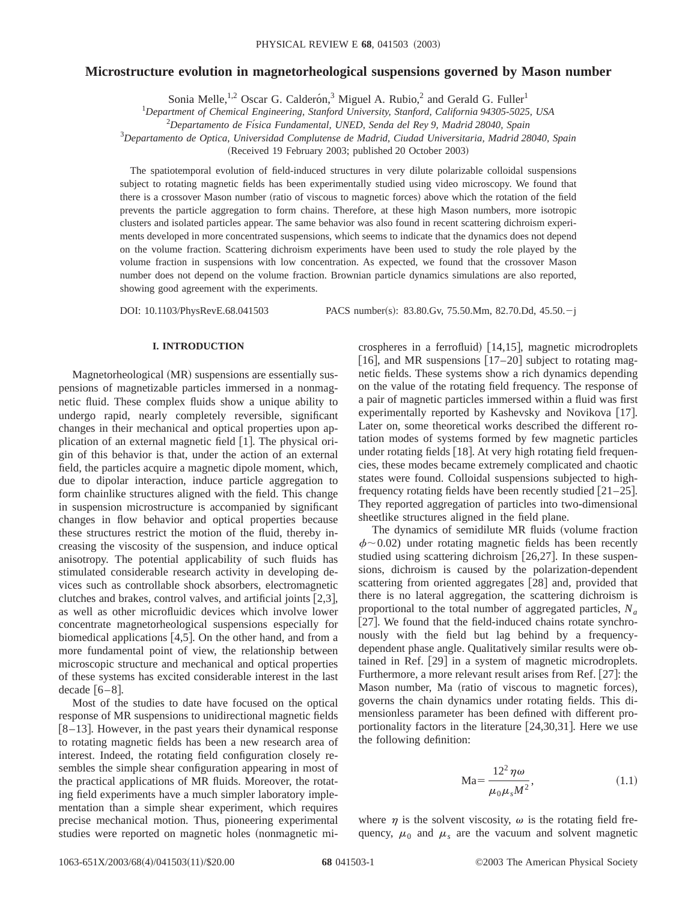# **Microstructure evolution in magnetorheological suspensions governed by Mason number**

Sonia Melle,<sup>1,2</sup> Oscar G. Calderón,<sup>3</sup> Miguel A. Rubio,<sup>2</sup> and Gerald G. Fuller<sup>1</sup>

1 *Department of Chemical Engineering, Stanford University, Stanford, California 94305-5025, USA*

2 *Departamento de Fı´sica Fundamental, UNED, Senda del Rey 9, Madrid 28040, Spain*

3 *Departamento de Optica, Universidad Complutense de Madrid, Ciudad Universitaria, Madrid 28040, Spain*

(Received 19 February 2003; published 20 October 2003)

The spatiotemporal evolution of field-induced structures in very dilute polarizable colloidal suspensions subject to rotating magnetic fields has been experimentally studied using video microscopy. We found that there is a crossover Mason number (ratio of viscous to magnetic forces) above which the rotation of the field prevents the particle aggregation to form chains. Therefore, at these high Mason numbers, more isotropic clusters and isolated particles appear. The same behavior was also found in recent scattering dichroism experiments developed in more concentrated suspensions, which seems to indicate that the dynamics does not depend on the volume fraction. Scattering dichroism experiments have been used to study the role played by the volume fraction in suspensions with low concentration. As expected, we found that the crossover Mason number does not depend on the volume fraction. Brownian particle dynamics simulations are also reported, showing good agreement with the experiments.

DOI: 10.1103/PhysRevE.68.041503 PACS number(s): 83.80.Gv, 75.50.Mm, 82.70.Dd, 45.50.-j

# **I. INTRODUCTION**

Magnetorheological (MR) suspensions are essentially suspensions of magnetizable particles immersed in a nonmagnetic fluid. These complex fluids show a unique ability to undergo rapid, nearly completely reversible, significant changes in their mechanical and optical properties upon application of an external magnetic field  $[1]$ . The physical origin of this behavior is that, under the action of an external field, the particles acquire a magnetic dipole moment, which, due to dipolar interaction, induce particle aggregation to form chainlike structures aligned with the field. This change in suspension microstructure is accompanied by significant changes in flow behavior and optical properties because these structures restrict the motion of the fluid, thereby increasing the viscosity of the suspension, and induce optical anisotropy. The potential applicability of such fluids has stimulated considerable research activity in developing devices such as controllable shock absorbers, electromagnetic clutches and brakes, control valves, and artificial joints  $[2,3]$ , as well as other microfluidic devices which involve lower concentrate magnetorheological suspensions especially for biomedical applications  $[4,5]$ . On the other hand, and from a more fundamental point of view, the relationship between microscopic structure and mechanical and optical properties of these systems has excited considerable interest in the last decade  $[6-8]$ .

Most of the studies to date have focused on the optical response of MR suspensions to unidirectional magnetic fields  $[8-13]$ . However, in the past years their dynamical response to rotating magnetic fields has been a new research area of interest. Indeed, the rotating field configuration closely resembles the simple shear configuration appearing in most of the practical applications of MR fluids. Moreover, the rotating field experiments have a much simpler laboratory implementation than a simple shear experiment, which requires precise mechanical motion. Thus, pioneering experimental studies were reported on magnetic holes (nonmagnetic microspheres in a ferrofluid)  $[14,15]$ , magnetic microdroplets [16], and MR suspensions  $[17–20]$  subject to rotating magnetic fields. These systems show a rich dynamics depending on the value of the rotating field frequency. The response of a pair of magnetic particles immersed within a fluid was first experimentally reported by Kashevsky and Novikova [17]. Later on, some theoretical works described the different rotation modes of systems formed by few magnetic particles under rotating fields  $[18]$ . At very high rotating field frequencies, these modes became extremely complicated and chaotic states were found. Colloidal suspensions subjected to highfrequency rotating fields have been recently studied  $[21–25]$ . They reported aggregation of particles into two-dimensional sheetlike structures aligned in the field plane.

The dynamics of semidilute MR fluids (volume fraction  $\phi \sim 0.02$ ) under rotating magnetic fields has been recently studied using scattering dichroism  $[26,27]$ . In these suspensions, dichroism is caused by the polarization-dependent scattering from oriented aggregates  $[28]$  and, provided that there is no lateral aggregation, the scattering dichroism is proportional to the total number of aggregated particles, *Na* [ $27$ ]. We found that the field-induced chains rotate synchronously with the field but lag behind by a frequencydependent phase angle. Qualitatively similar results were obtained in Ref.  $[29]$  in a system of magnetic microdroplets. Furthermore, a more relevant result arises from Ref. [27]: the Mason number, Ma (ratio of viscous to magnetic forces), governs the chain dynamics under rotating fields. This dimensionless parameter has been defined with different proportionality factors in the literature  $[24,30,31]$ . Here we use the following definition:

$$
\text{Ma} = \frac{12^2 \,\eta \,\omega}{\mu_0 \mu_s M^2},\tag{1.1}
$$

where  $\eta$  is the solvent viscosity,  $\omega$  is the rotating field frequency,  $\mu_0$  and  $\mu_s$  are the vacuum and solvent magnetic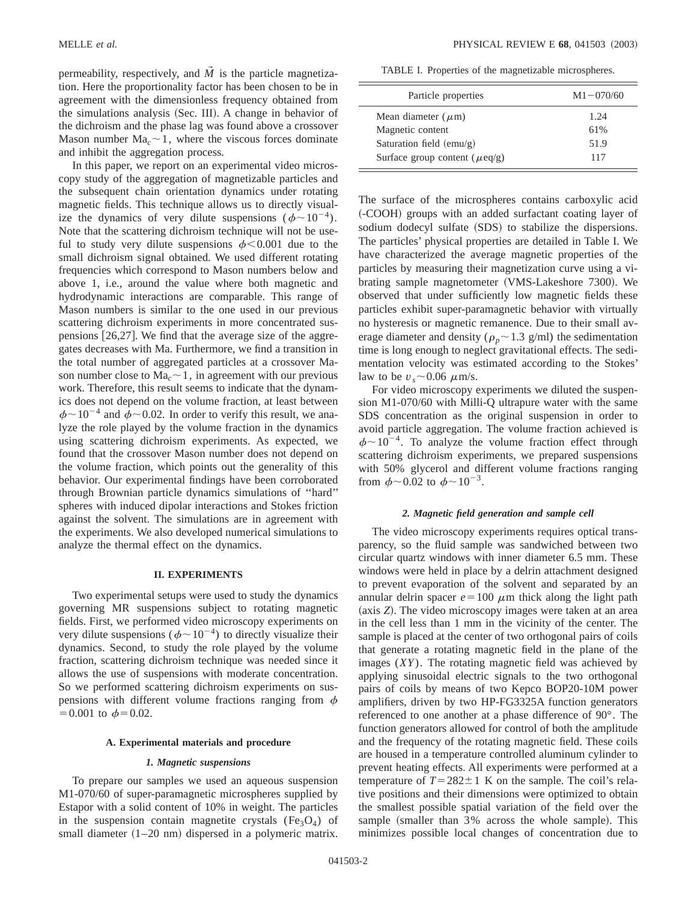permeability, respectively, and  $\overline{M}$  is the particle magnetization. Here the proportionality factor has been chosen to be in agreement with the dimensionless frequency obtained from the simulations analysis (Sec. III). A change in behavior of the dichroism and the phase lag was found above a crossover Mason number  $Ma<sub>c</sub> \sim 1$ , where the viscous forces dominate and inhibit the aggregation process.

In this paper, we report on an experimental video microscopy study of the aggregation of magnetizable particles and the subsequent chain orientation dynamics under rotating magnetic fields. This technique allows us to directly visualize the dynamics of very dilute suspensions ( $\phi \sim 10^{-4}$ ). Note that the scattering dichroism technique will not be useful to study very dilute suspensions  $\phi$ <0.001 due to the small dichroism signal obtained. We used different rotating frequencies which correspond to Mason numbers below and above 1, i.e., around the value where both magnetic and hydrodynamic interactions are comparable. This range of Mason numbers is similar to the one used in our previous scattering dichroism experiments in more concentrated suspensions  $[26,27]$ . We find that the average size of the aggregates decreases with Ma. Furthermore, we find a transition in the total number of aggregated particles at a crossover Mason number close to  $Ma<sub>c</sub> \sim 1$ , in agreement with our previous work. Therefore, this result seems to indicate that the dynamics does not depend on the volume fraction, at least between  $\phi \sim 10^{-4}$  and  $\dot{\phi} \sim 0.02$ . In order to verify this result, we analyze the role played by the volume fraction in the dynamics using scattering dichroism experiments. As expected, we found that the crossover Mason number does not depend on the volume fraction, which points out the generality of this behavior. Our experimental findings have been corroborated through Brownian particle dynamics simulations of ''hard'' spheres with induced dipolar interactions and Stokes friction against the solvent. The simulations are in agreement with the experiments. We also developed numerical simulations to analyze the thermal effect on the dynamics.

## **II. EXPERIMENTS**

Two experimental setups were used to study the dynamics governing MR suspensions subject to rotating magnetic fields. First, we performed video microscopy experiments on very dilute suspensions ( $\phi \sim 10^{-4}$ ) to directly visualize their dynamics. Second, to study the role played by the volume fraction, scattering dichroism technique was needed since it allows the use of suspensions with moderate concentration. So we performed scattering dichroism experiments on suspensions with different volume fractions ranging from  $\phi$  $=0.001$  to  $\phi=0.02$ .

### **A. Experimental materials and procedure**

### *1. Magnetic suspensions*

To prepare our samples we used an aqueous suspension M1-070/60 of super-paramagnetic microspheres supplied by Estapor with a solid content of 10% in weight. The particles in the suspension contain magnetite crystals ( $Fe<sub>3</sub>O<sub>4</sub>$ ) of small diameter  $(1–20 \text{ nm})$  dispersed in a polymeric matrix.

TABLE I. Properties of the magnetizable microspheres.

| Particle properties                 | $M1 - 070/60$ |
|-------------------------------------|---------------|
| Mean diameter $(\mu m)$             | 1.24          |
| Magnetic content                    | 61%           |
| Saturation field $(emu/g)$          | 51.9          |
| Surface group content ( $\mu$ eq/g) | 117           |

The surface of the microspheres contains carboxylic acid ~-COOH! groups with an added surfactant coating layer of sodium dodecyl sulfate (SDS) to stabilize the dispersions. The particles' physical properties are detailed in Table I. We have characterized the average magnetic properties of the particles by measuring their magnetization curve using a vibrating sample magnetometer (VMS-Lakeshore 7300). We observed that under sufficiently low magnetic fields these particles exhibit super-paramagnetic behavior with virtually no hysteresis or magnetic remanence. Due to their small average diameter and density ( $\rho_p \sim 1.3$  g/ml) the sedimentation time is long enough to neglect gravitational effects. The sedimentation velocity was estimated according to the Stokes' law to be  $v_s \sim 0.06 \ \mu \text{m/s}.$ 

For video microscopy experiments we diluted the suspension M1-070/60 with Milli-Q ultrapure water with the same SDS concentration as the original suspension in order to avoid particle aggregation. The volume fraction achieved is  $\phi \sim 10^{-4}$ . To analyze the volume fraction effect through scattering dichroism experiments, we prepared suspensions with 50% glycerol and different volume fractions ranging from  $\phi \sim 0.02$  to  $\phi \sim 10^{-3}$ .

### *2. Magnetic field generation and sample cell*

The video microscopy experiments requires optical transparency, so the fluid sample was sandwiched between two circular quartz windows with inner diameter 6.5 mm. These windows were held in place by a delrin attachment designed to prevent evaporation of the solvent and separated by an annular delrin spacer  $e=100 \mu m$  thick along the light path (axis *Z*). The video microscopy images were taken at an area in the cell less than 1 mm in the vicinity of the center. The sample is placed at the center of two orthogonal pairs of coils that generate a rotating magnetic field in the plane of the images (*XY*). The rotating magnetic field was achieved by applying sinusoidal electric signals to the two orthogonal pairs of coils by means of two Kepco BOP20-10M power amplifiers, driven by two HP-FG3325A function generators referenced to one another at a phase difference of 90°. The function generators allowed for control of both the amplitude and the frequency of the rotating magnetic field. These coils are housed in a temperature controlled aluminum cylinder to prevent heating effects. All experiments were performed at a temperature of  $T=282\pm1$  K on the sample. The coil's relative positions and their dimensions were optimized to obtain the smallest possible spatial variation of the field over the sample (smaller than 3% across the whole sample). This minimizes possible local changes of concentration due to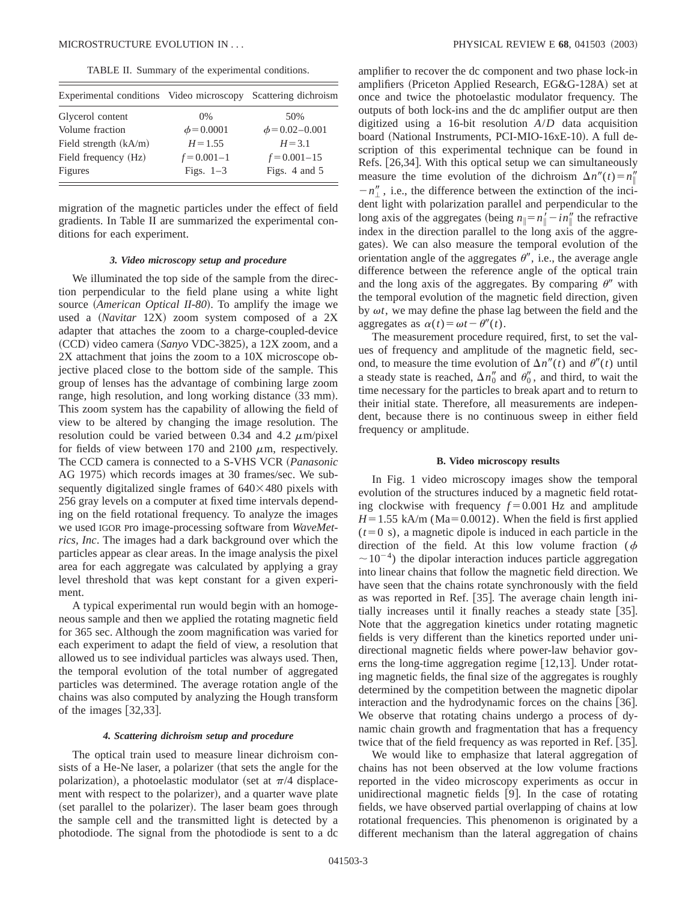TABLE II. Summary of the experimental conditions.

| Experimental conditions Video microscopy |                 | Scattering dichroism |
|------------------------------------------|-----------------|----------------------|
| Glycerol content                         | $0\%$           | 50%                  |
| Volume fraction                          | $\phi$ = 0.0001 | $\phi$ = 0.02–0.001  |
| Field strength $(kA/m)$                  | $H = 1.55$      | $H = 3.1$            |
| Field frequency (Hz)                     | $f = 0.001 - 1$ | $f = 0.001 - 15$     |
| <b>Figures</b>                           | Figs. $1-3$     | Figs. 4 and 5        |

migration of the magnetic particles under the effect of field gradients. In Table II are summarized the experimental conditions for each experiment.

### *3. Video microscopy setup and procedure*

We illuminated the top side of the sample from the direction perpendicular to the field plane using a white light source (*American Optical II-80*). To amplify the image we used a (*Navitar* 12X) zoom system composed of a 2X adapter that attaches the zoom to a charge-coupled-device (CCD) video camera (Sanyo VDC-3825), a 12X zoom, and a 2X attachment that joins the zoom to a 10X microscope objective placed close to the bottom side of the sample. This group of lenses has the advantage of combining large zoom range, high resolution, and long working distance  $(33 \text{ mm})$ . This zoom system has the capability of allowing the field of view to be altered by changing the image resolution. The resolution could be varied between 0.34 and 4.2  $\mu$ m/pixel for fields of view between 170 and 2100  $\mu$ m, respectively. The CCD camera is connected to a S-VHS VCR (Panasonic AG 1975) which records images at 30 frames/sec. We subsequently digitalized single frames of  $640\times480$  pixels with 256 gray levels on a computer at fixed time intervals depending on the field rotational frequency. To analyze the images we used IGOR Pro image-processing software from *WaveMetrics, Inc*. The images had a dark background over which the particles appear as clear areas. In the image analysis the pixel area for each aggregate was calculated by applying a gray level threshold that was kept constant for a given experiment.

A typical experimental run would begin with an homogeneous sample and then we applied the rotating magnetic field for 365 sec. Although the zoom magnification was varied for each experiment to adapt the field of view, a resolution that allowed us to see individual particles was always used. Then, the temporal evolution of the total number of aggregated particles was determined. The average rotation angle of the chains was also computed by analyzing the Hough transform of the images  $[32,33]$ .

### *4. Scattering dichroism setup and procedure*

The optical train used to measure linear dichroism consists of a He-Ne laser, a polarizer (that sets the angle for the polarization), a photoelastic modulator (set at  $\pi/4$  displacement with respect to the polarizer), and a quarter wave plate (set parallel to the polarizer). The laser beam goes through the sample cell and the transmitted light is detected by a photodiode. The signal from the photodiode is sent to a dc amplifier to recover the dc component and two phase lock-in amplifiers (Priceton Applied Research, EG&G-128A) set at once and twice the photoelastic modulator frequency. The outputs of both lock-ins and the dc amplifier output are then digitized using a 16-bit resolution *A*/*D* data acquisition board (National Instruments, PCI-MIO-16xE-10). A full description of this experimental technique can be found in Refs. [26,34]. With this optical setup we can simultaneously measure the time evolution of the dichroism  $\Delta n''(t) = n''_{\parallel}$  $-n''_1$ , i.e., the difference between the extinction of the incident light with polarization parallel and perpendicular to the long axis of the aggregates (being  $n_{\parallel} = n'_{\parallel} - i n''_{\parallel}$  the refractive index in the direction parallel to the long axis of the aggregates). We can also measure the temporal evolution of the orientation angle of the aggregates  $\theta''$ , i.e., the average angle difference between the reference angle of the optical train and the long axis of the aggregates. By comparing  $\theta''$  with the temporal evolution of the magnetic field direction, given by  $\omega t$ , we may define the phase lag between the field and the aggregates as  $\alpha(t) = \omega t - \theta''(t)$ .

The measurement procedure required, first, to set the values of frequency and amplitude of the magnetic field, second, to measure the time evolution of  $\Delta n''(t)$  and  $\theta''(t)$  until a steady state is reached,  $\Delta n_0''$  and  $\theta_0''$ , and third, to wait the time necessary for the particles to break apart and to return to their initial state. Therefore, all measurements are independent, because there is no continuous sweep in either field frequency or amplitude.

### **B. Video microscopy results**

In Fig. 1 video microscopy images show the temporal evolution of the structures induced by a magnetic field rotating clockwise with frequency  $f = 0.001$  Hz and amplitude  $H=1.55$  kA/m (Ma=0.0012). When the field is first applied  $(t=0 s)$ , a magnetic dipole is induced in each particle in the direction of the field. At this low volume fraction ( $\phi$  $\sim 10^{-4}$ ) the dipolar interaction induces particle aggregation into linear chains that follow the magnetic field direction. We have seen that the chains rotate synchronously with the field as was reported in Ref. [35]. The average chain length initially increases until it finally reaches a steady state  $[35]$ . Note that the aggregation kinetics under rotating magnetic fields is very different than the kinetics reported under unidirectional magnetic fields where power-law behavior governs the long-time aggregation regime  $[12,13]$ . Under rotating magnetic fields, the final size of the aggregates is roughly determined by the competition between the magnetic dipolar interaction and the hydrodynamic forces on the chains  $[36]$ . We observe that rotating chains undergo a process of dynamic chain growth and fragmentation that has a frequency twice that of the field frequency as was reported in Ref. [35].

We would like to emphasize that lateral aggregation of chains has not been observed at the low volume fractions reported in the video microscopy experiments as occur in unidirectional magnetic fields [9]. In the case of rotating fields, we have observed partial overlapping of chains at low rotational frequencies. This phenomenon is originated by a different mechanism than the lateral aggregation of chains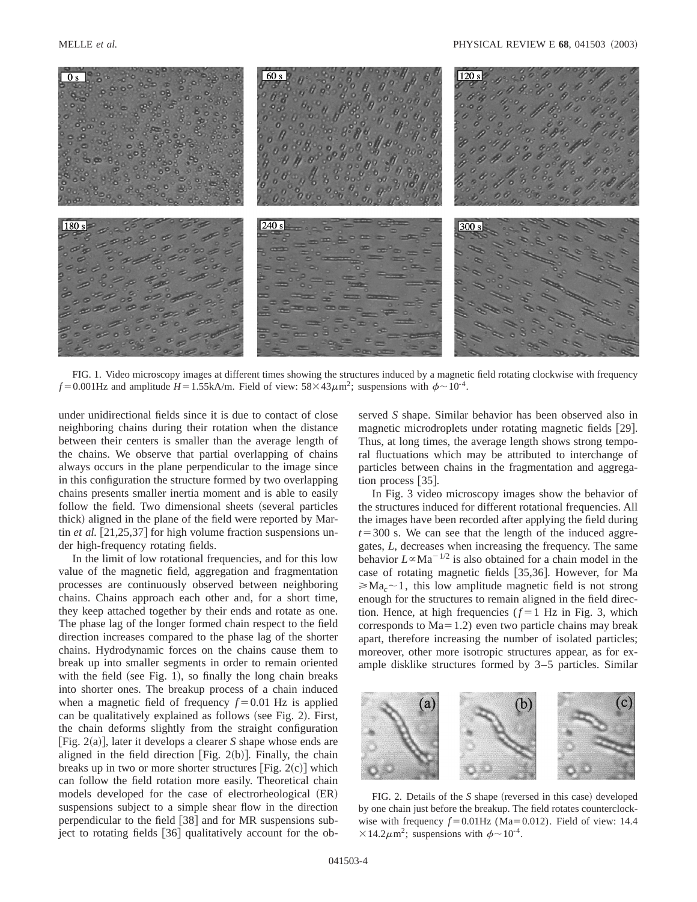

FIG. 1. Video microscopy images at different times showing the structures induced by a magnetic field rotating clockwise with frequency  $f = 0.001$ Hz and amplitude  $H = 1.55$ kA/m. Field of view:  $58 \times 43 \mu$ m<sup>2</sup>; suspensions with  $\phi \sim 10^{-4}$ .

under unidirectional fields since it is due to contact of close neighboring chains during their rotation when the distance between their centers is smaller than the average length of the chains. We observe that partial overlapping of chains always occurs in the plane perpendicular to the image since in this configuration the structure formed by two overlapping chains presents smaller inertia moment and is able to easily follow the field. Two dimensional sheets (several particles thick) aligned in the plane of the field were reported by Martin *et al.*  $[21,25,37]$  for high volume fraction suspensions under high-frequency rotating fields.

In the limit of low rotational frequencies, and for this low value of the magnetic field, aggregation and fragmentation processes are continuously observed between neighboring chains. Chains approach each other and, for a short time, they keep attached together by their ends and rotate as one. The phase lag of the longer formed chain respect to the field direction increases compared to the phase lag of the shorter chains. Hydrodynamic forces on the chains cause them to break up into smaller segments in order to remain oriented with the field (see Fig. 1), so finally the long chain breaks into shorter ones. The breakup process of a chain induced when a magnetic field of frequency  $f = 0.01$  Hz is applied can be qualitatively explained as follows (see Fig. 2). First, the chain deforms slightly from the straight configuration  $[Fig. 2(a)],$  later it develops a clearer *S* shape whose ends are aligned in the field direction  $[Fig. 2(b)]$ . Finally, the chain breaks up in two or more shorter structures [Fig.  $2(c)$ ] which can follow the field rotation more easily. Theoretical chain models developed for the case of electrorheological (ER) suspensions subject to a simple shear flow in the direction perpendicular to the field  $\lceil 38 \rceil$  and for MR suspensions subject to rotating fields [36] qualitatively account for the observed *S* shape. Similar behavior has been observed also in magnetic microdroplets under rotating magnetic fields [29]. Thus, at long times, the average length shows strong temporal fluctuations which may be attributed to interchange of particles between chains in the fragmentation and aggregation process  $\lceil 35 \rceil$ .

In Fig. 3 video microscopy images show the behavior of the structures induced for different rotational frequencies. All the images have been recorded after applying the field during  $t=300$  s. We can see that the length of the induced aggregates, *L*, decreases when increasing the frequency. The same behavior  $L \propto \text{Ma}^{-1/2}$  is also obtained for a chain model in the case of rotating magnetic fields [35,36]. However, for Ma  $\geqslant$ Ma<sub>c</sub> $\sim$ 1, this low amplitude magnetic field is not strong enough for the structures to remain aligned in the field direction. Hence, at high frequencies  $(f=1$  Hz in Fig. 3, which corresponds to  $Ma=1.2$ ) even two particle chains may break apart, therefore increasing the number of isolated particles; moreover, other more isotropic structures appear, as for example disklike structures formed by 3–5 particles. Similar



FIG. 2. Details of the *S* shape (reversed in this case) developed by one chain just before the breakup. The field rotates counterclockwise with frequency  $f = 0.01$ Hz (Ma=0.012). Field of view: 14.4  $\times$ 14.2 $\mu$ m<sup>2</sup>; suspensions with  $\phi$  ~ 10<sup>-4</sup>.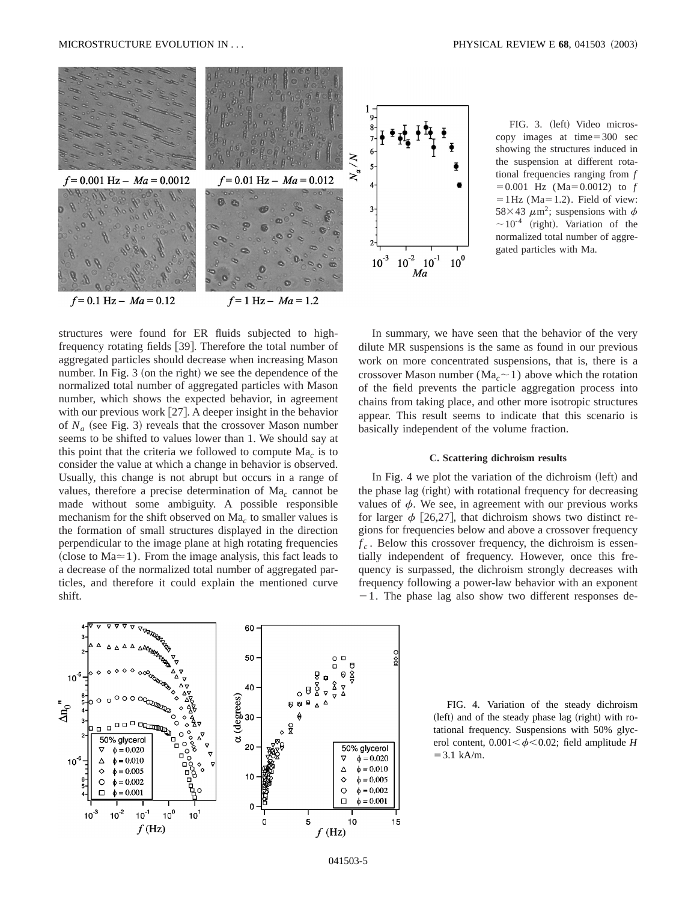

structures were found for ER fluids subjected to highfrequency rotating fields [39]. Therefore the total number of aggregated particles should decrease when increasing Mason number. In Fig.  $3$  (on the right) we see the dependence of the normalized total number of aggregated particles with Mason number, which shows the expected behavior, in agreement with our previous work  $[27]$ . A deeper insight in the behavior of  $N_a$  (see Fig. 3) reveals that the crossover Mason number seems to be shifted to values lower than 1. We should say at this point that the criteria we followed to compute Ma*<sup>c</sup>* is to consider the value at which a change in behavior is observed. Usually, this change is not abrupt but occurs in a range of values, therefore a precise determination of Ma*<sup>c</sup>* cannot be made without some ambiguity. A possible responsible mechanism for the shift observed on Ma*<sup>c</sup>* to smaller values is the formation of small structures displayed in the direction perpendicular to the image plane at high rotating frequencies (close to  $Ma \approx 1$ ). From the image analysis, this fact leads to a decrease of the normalized total number of aggregated particles, and therefore it could explain the mentioned curve

shift.

FIG. 3. (left) Video microscopy images at time $=300$  sec showing the structures induced in the suspension at different rotational frequencies ranging from *f*  $=0.001$  Hz (Ma $=0.0012$ ) to *f*  $=1$  Hz (Ma=1.2). Field of view: 58×43  $\mu$ m<sup>2</sup>; suspensions with  $\phi$  $\sim$  10<sup>-4</sup> (right). Variation of the normalized total number of aggregated particles with Ma.

In summary, we have seen that the behavior of the very dilute MR suspensions is the same as found in our previous work on more concentrated suspensions, that is, there is a crossover Mason number ( $Ma<sub>c</sub> \sim 1$ ) above which the rotation of the field prevents the particle aggregation process into chains from taking place, and other more isotropic structures appear. This result seems to indicate that this scenario is basically independent of the volume fraction.

## **C. Scattering dichroism results**

In Fig. 4 we plot the variation of the dichroism (left) and the phase lag (right) with rotational frequency for decreasing values of  $\phi$ . We see, in agreement with our previous works for larger  $\phi$  [26,27], that dichroism shows two distinct regions for frequencies below and above a crossover frequency  $f_c$ . Below this crossover frequency, the dichroism is essentially independent of frequency. However, once this frequency is surpassed, the dichroism strongly decreases with frequency following a power-law behavior with an exponent  $-1$ . The phase lag also show two different responses de-



FIG. 4. Variation of the steady dichroism  $(\text{left})$  and of the steady phase lag  $(\text{right})$  with rotational frequency. Suspensions with 50% glycerol content,  $0.001 < \phi < 0.02$ ; field amplitude *H*  $=3.1$  kA/m.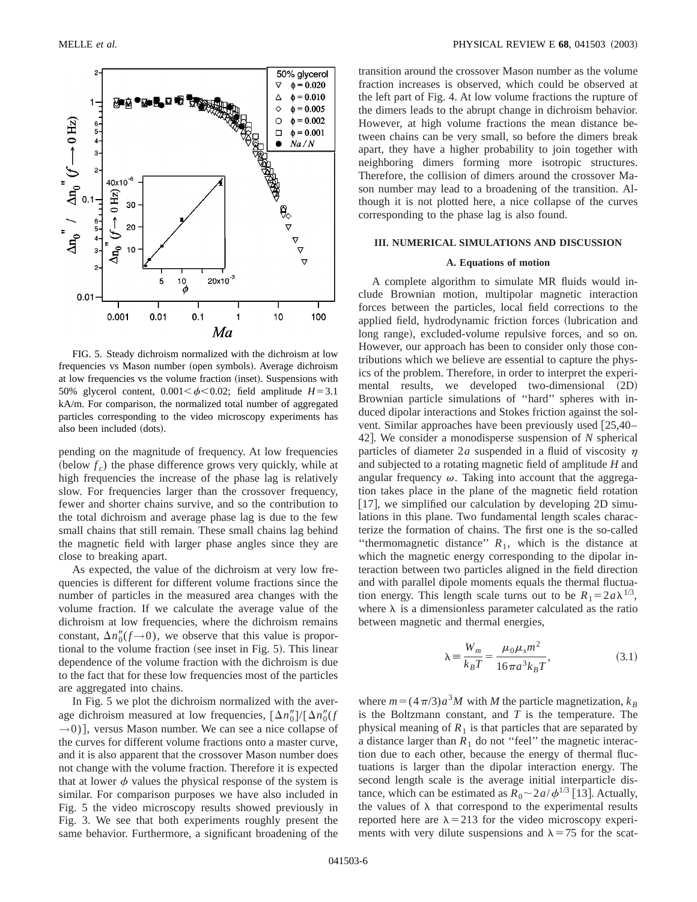

FIG. 5. Steady dichroism normalized with the dichroism at low frequencies vs Mason number (open symbols). Average dichroism at low frequencies vs the volume fraction (inset). Suspensions with 50% glycerol content,  $0.001 < \phi < 0.02$ ; field amplitude  $H = 3.1$ kA/m. For comparison, the normalized total number of aggregated particles corresponding to the video microscopy experiments has also been included (dots).

pending on the magnitude of frequency. At low frequencies  $(\text{below } f_c)$  the phase difference grows very quickly, while at high frequencies the increase of the phase lag is relatively slow. For frequencies larger than the crossover frequency, fewer and shorter chains survive, and so the contribution to the total dichroism and average phase lag is due to the few small chains that still remain. These small chains lag behind the magnetic field with larger phase angles since they are close to breaking apart.

As expected, the value of the dichroism at very low frequencies is different for different volume fractions since the number of particles in the measured area changes with the volume fraction. If we calculate the average value of the dichroism at low frequencies, where the dichroism remains constant,  $\Delta n_0''(f \rightarrow 0)$ , we observe that this value is proportional to the volume fraction (see inset in Fig.  $5$ ). This linear dependence of the volume fraction with the dichroism is due to the fact that for these low frequencies most of the particles are aggregated into chains.

In Fig. 5 we plot the dichroism normalized with the average dichroism measured at low frequencies,  $[\Delta n_0'']/[\Delta n_0''(f)]$  $\rightarrow$ 0)], versus Mason number. We can see a nice collapse of the curves for different volume fractions onto a master curve, and it is also apparent that the crossover Mason number does not change with the volume fraction. Therefore it is expected that at lower  $\phi$  values the physical response of the system is similar. For comparison purposes we have also included in Fig. 5 the video microscopy results showed previously in Fig. 3. We see that both experiments roughly present the same behavior. Furthermore, a significant broadening of the transition around the crossover Mason number as the volume fraction increases is observed, which could be observed at the left part of Fig. 4. At low volume fractions the rupture of the dimers leads to the abrupt change in dichroism behavior. However, at high volume fractions the mean distance between chains can be very small, so before the dimers break apart, they have a higher probability to join together with neighboring dimers forming more isotropic structures. Therefore, the collision of dimers around the crossover Mason number may lead to a broadening of the transition. Although it is not plotted here, a nice collapse of the curves corresponding to the phase lag is also found.

### **III. NUMERICAL SIMULATIONS AND DISCUSSION**

# **A. Equations of motion**

A complete algorithm to simulate MR fluids would include Brownian motion, multipolar magnetic interaction forces between the particles, local field corrections to the applied field, hydrodynamic friction forces (lubrication and long range), excluded-volume repulsive forces, and so on. However, our approach has been to consider only those contributions which we believe are essential to capture the physics of the problem. Therefore, in order to interpret the experimental results, we developed two-dimensional (2D) Brownian particle simulations of ''hard'' spheres with induced dipolar interactions and Stokes friction against the solvent. Similar approaches have been previously used  $[25,40-$ 42]. We consider a monodisperse suspension of *N* spherical particles of diameter  $2a$  suspended in a fluid of viscosity  $\eta$ and subjected to a rotating magnetic field of amplitude *H* and angular frequency  $\omega$ . Taking into account that the aggregation takes place in the plane of the magnetic field rotation [17], we simplified our calculation by developing  $2D \sin \theta$ lations in this plane. Two fundamental length scales characterize the formation of chains. The first one is the so-called "thermomagnetic distance"  $R_1$ , which is the distance at which the magnetic energy corresponding to the dipolar interaction between two particles aligned in the field direction and with parallel dipole moments equals the thermal fluctuation energy. This length scale turns out to be  $R_1 = 2a\lambda^{1/3}$ , where  $\lambda$  is a dimensionless parameter calculated as the ratio between magnetic and thermal energies,

$$
\lambda = \frac{W_m}{k_B T} = \frac{\mu_0 \mu_s m^2}{16 \pi a^3 k_B T},
$$
\n(3.1)

where  $m = (4\pi/3)a^3M$  with *M* the particle magnetization,  $k_B$ is the Boltzmann constant, and *T* is the temperature. The physical meaning of  $R_1$  is that particles that are separated by a distance larger than  $R_1$  do not "feel" the magnetic interaction due to each other, because the energy of thermal fluctuations is larger than the dipolar interaction energy. The second length scale is the average initial interparticle distance, which can be estimated as  $\overline{R}_0 \sim 2a/\phi^{1/3}$  [13]. Actually, the values of  $\lambda$  that correspond to the experimental results reported here are  $\lambda$  = 213 for the video microscopy experiments with very dilute suspensions and  $\lambda$  = 75 for the scat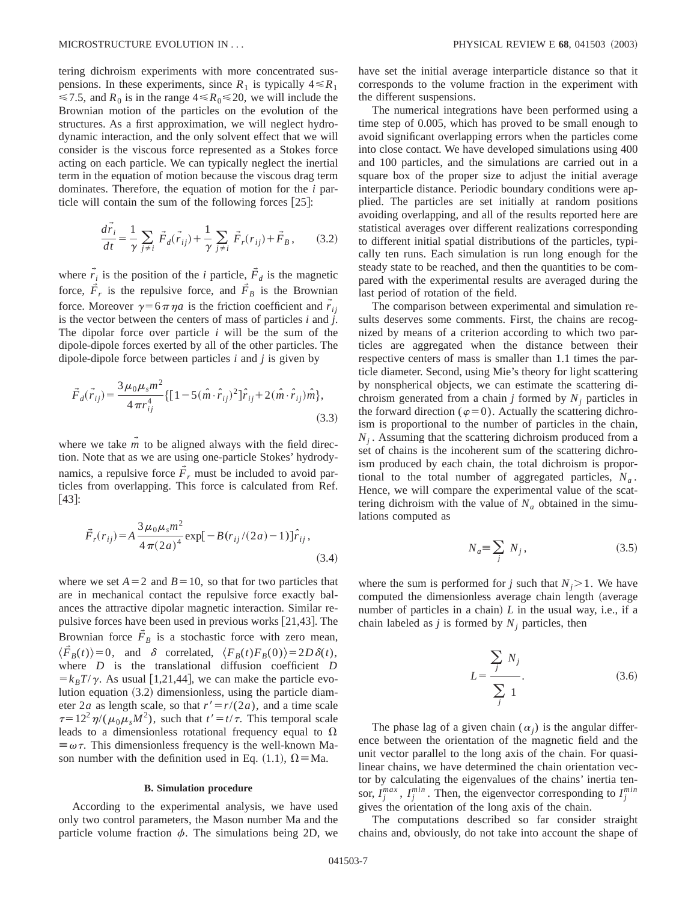tering dichroism experiments with more concentrated suspensions. In these experiments, since  $R_1$  is typically  $4 \le R_1$  $\leq 7.5$ , and  $R_0$  is in the range  $4 \leq R_0 \leq 20$ , we will include the Brownian motion of the particles on the evolution of the structures. As a first approximation, we will neglect hydrodynamic interaction, and the only solvent effect that we will consider is the viscous force represented as a Stokes force acting on each particle. We can typically neglect the inertial term in the equation of motion because the viscous drag term dominates. Therefore, the equation of motion for the *i* particle will contain the sum of the following forces  $[25]$ :

$$
\frac{d\vec{r}_i}{dt} = \frac{1}{\gamma} \sum_{j \neq i} \vec{F}_d(\vec{r}_{ij}) + \frac{1}{\gamma} \sum_{j \neq i} \vec{F}_r(r_{ij}) + \vec{F}_B, \qquad (3.2)
$$

where  $\vec{r}_i$  is the position of the *i* particle,  $\vec{F}_d$  is the magnetic force,  $\tilde{F}_r$  is the repulsive force, and  $\tilde{F}_B$  is the Brownian force. Moreover  $\gamma = 6\pi \eta a$  is the friction coefficient and  $\vec{r}_{ij}$ is the vector between the centers of mass of particles  $i$  and  $\hat{j}$ . The dipolar force over particle *i* will be the sum of the dipole-dipole forces exerted by all of the other particles. The dipole-dipole force between particles *i* and *j* is given by

$$
\vec{F}_d(\vec{r}_{ij}) = \frac{3\mu_0\mu_s m^2}{4\pi r_{ij}^4} \{ [1 - 5(\hat{m}\cdot\hat{r}_{ij})^2]\hat{r}_{ij} + 2(\hat{m}\cdot\hat{r}_{ij})\hat{m} \},
$$
\n(3.3)

where we take  $\overline{m}$  to be aligned always with the field direction. Note that as we are using one-particle Stokes' hydrodynamics, a repulsive force  $\vec{F}_r$  must be included to avoid particles from overlapping. This force is calculated from Ref.  $[43]$ :

$$
\vec{F}_r(r_{ij}) = A \frac{3\mu_0 \mu_s m^2}{4\pi (2a)^4} \exp[-B(r_{ij}/(2a) - 1)]\hat{r}_{ij},
$$
\n(3.4)

where we set  $A=2$  and  $B=10$ , so that for two particles that are in mechanical contact the repulsive force exactly balances the attractive dipolar magnetic interaction. Similar repulsive forces have been used in previous works  $[21,43]$ . The Brownian force  $F_B$  is a stochastic force with zero mean,  $\langle \vec{F}_B(t) \rangle = 0$ , and  $\delta$  correlated,  $\langle F_B(t)F_B(0) \rangle = 2D\delta(t)$ , where *D* is the translational diffusion coefficient *D*  $=k_B T/\gamma$ . As usual [1,21,44], we can make the particle evolution equation  $(3.2)$  dimensionless, using the particle diameter 2*a* as length scale, so that  $r' = r/(2a)$ , and a time scale  $\tau=12^2\eta/(\mu_0\mu_sM^2)$ , such that  $t'=t/\tau$ . This temporal scale leads to a dimensionless rotational frequency equal to  $\Omega$  $\equiv \omega \tau$ . This dimensionless frequency is the well-known Mason number with the definition used in Eq. (1.1),  $\Omega = Ma$ .

### **B. Simulation procedure**

According to the experimental analysis, we have used only two control parameters, the Mason number Ma and the particle volume fraction  $\phi$ . The simulations being 2D, we have set the initial average interparticle distance so that it corresponds to the volume fraction in the experiment with the different suspensions.

The numerical integrations have been performed using a time step of 0.005, which has proved to be small enough to avoid significant overlapping errors when the particles come into close contact. We have developed simulations using 400 and 100 particles, and the simulations are carried out in a square box of the proper size to adjust the initial average interparticle distance. Periodic boundary conditions were applied. The particles are set initially at random positions avoiding overlapping, and all of the results reported here are statistical averages over different realizations corresponding to different initial spatial distributions of the particles, typically ten runs. Each simulation is run long enough for the steady state to be reached, and then the quantities to be compared with the experimental results are averaged during the last period of rotation of the field.

The comparison between experimental and simulation results deserves some comments. First, the chains are recognized by means of a criterion according to which two particles are aggregated when the distance between their respective centers of mass is smaller than 1.1 times the particle diameter. Second, using Mie's theory for light scattering by nonspherical objects, we can estimate the scattering dichroism generated from a chain *j* formed by  $N_i$  particles in the forward direction ( $\varphi=0$ ). Actually the scattering dichroism is proportional to the number of particles in the chain, *N<sub>i</sub>*. Assuming that the scattering dichroism produced from a set of chains is the incoherent sum of the scattering dichroism produced by each chain, the total dichroism is proportional to the total number of aggregated particles,  $N_a$ . Hence, we will compare the experimental value of the scattering dichroism with the value of  $N_a$  obtained in the simulations computed as

$$
N_a \equiv \sum_j \ N_j \,, \tag{3.5}
$$

where the sum is performed for *j* such that  $N_i > 1$ . We have computed the dimensionless average chain length (average number of particles in a chain)  $L$  in the usual way, i.e., if a chain labeled as  $j$  is formed by  $N_j$  particles, then

$$
L = \frac{\sum_{j} N_j}{\sum_{j} 1}.
$$
 (3.6)

The phase lag of a given chain  $(\alpha_i)$  is the angular difference between the orientation of the magnetic field and the unit vector parallel to the long axis of the chain. For quasilinear chains, we have determined the chain orientation vector by calculating the eigenvalues of the chains' inertia tensor,  $I_j^{max}$ ,  $I_j^{min}$ . Then, the eigenvector corresponding to  $I_j^{min}$ gives the orientation of the long axis of the chain.

The computations described so far consider straight chains and, obviously, do not take into account the shape of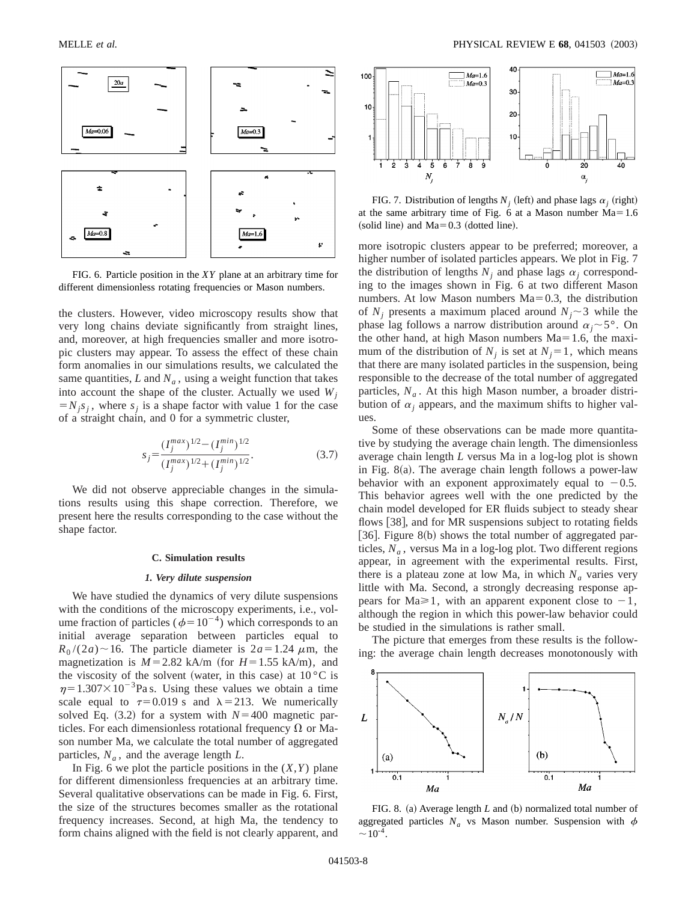

FIG. 6. Particle position in the *XY* plane at an arbitrary time for different dimensionless rotating frequencies or Mason numbers.

the clusters. However, video microscopy results show that very long chains deviate significantly from straight lines, and, moreover, at high frequencies smaller and more isotropic clusters may appear. To assess the effect of these chain form anomalies in our simulations results, we calculated the same quantities,  $L$  and  $N_a$ , using a weight function that takes into account the shape of the cluster. Actually we used  $W_i$  $=N_j s_j$ , where  $s_j$  is a shape factor with value 1 for the case of a straight chain, and 0 for a symmetric cluster,

$$
s_j = \frac{(I_j^{max})^{1/2} - (I_j^{min})^{1/2}}{(I_j^{max})^{1/2} + (I_j^{min})^{1/2}}.
$$
\n(3.7)

We did not observe appreciable changes in the simulations results using this shape correction. Therefore, we present here the results corresponding to the case without the shape factor.

#### **C. Simulation results**

### *1. Very dilute suspension*

We have studied the dynamics of very dilute suspensions with the conditions of the microscopy experiments, i.e., volume fraction of particles ( $\phi=10^{-4}$ ) which corresponds to an initial average separation between particles equal to  $R_0/(2a) \sim 16$ . The particle diameter is  $2a=1.24 \mu$ m, the magnetization is  $M=2.82$  kA/m (for  $H=1.55$  kA/m), and the viscosity of the solvent (water, in this case) at  $10 \degree C$  is  $\eta$ =1.307×10<sup>-3</sup>Pa s. Using these values we obtain a time scale equal to  $\tau=0.019$  s and  $\lambda=213$ . We numerically solved Eq.  $(3.2)$  for a system with  $N=400$  magnetic particles. For each dimensionless rotational frequency  $\Omega$  or Mason number Ma, we calculate the total number of aggregated particles,  $N_a$ , and the average length  $L$ .

In Fig. 6 we plot the particle positions in the  $(X, Y)$  plane for different dimensionless frequencies at an arbitrary time. Several qualitative observations can be made in Fig. 6. First, the size of the structures becomes smaller as the rotational frequency increases. Second, at high Ma, the tendency to form chains aligned with the field is not clearly apparent, and



FIG. 7. Distribution of lengths  $N_i$  (left) and phase lags  $\alpha_i$  (right) at the same arbitrary time of Fig. 6 at a Mason number  $Ma=1.6$ (solid line) and  $Ma=0.3$  (dotted line).

more isotropic clusters appear to be preferred; moreover, a higher number of isolated particles appears. We plot in Fig. 7 the distribution of lengths  $N_i$  and phase lags  $\alpha_i$  corresponding to the images shown in Fig. 6 at two different Mason numbers. At low Mason numbers  $Ma=0.3$ , the distribution of  $N_i$  presents a maximum placed around  $N_i \sim 3$  while the phase lag follows a narrow distribution around  $\alpha_i \sim 5^\circ$ . On the other hand, at high Mason numbers  $Ma=1.6$ , the maximum of the distribution of  $N_i$  is set at  $N_i=1$ , which means that there are many isolated particles in the suspension, being responsible to the decrease of the total number of aggregated particles,  $N_a$ . At this high Mason number, a broader distribution of  $\alpha_i$  appears, and the maximum shifts to higher values.

Some of these observations can be made more quantitative by studying the average chain length. The dimensionless average chain length *L* versus Ma in a log-log plot is shown in Fig. 8(a). The average chain length follows a power-law behavior with an exponent approximately equal to  $-0.5$ . This behavior agrees well with the one predicted by the chain model developed for ER fluids subject to steady shear flows [38], and for MR suspensions subject to rotating fields [36]. Figure  $8(b)$  shows the total number of aggregated particles,  $N_a$ , versus Ma in a log-log plot. Two different regions appear, in agreement with the experimental results. First, there is a plateau zone at low Ma, in which  $N_a$  varies very little with Ma. Second, a strongly decreasing response appears for Ma $\geq 1$ , with an apparent exponent close to  $-1$ , although the region in which this power-law behavior could be studied in the simulations is rather small.

The picture that emerges from these results is the following: the average chain length decreases monotonously with



FIG. 8. (a) Average length *L* and (b) normalized total number of aggregated particles  $N_a$  vs Mason number. Suspension with  $\phi$  $\sim$  10<sup>-4</sup>.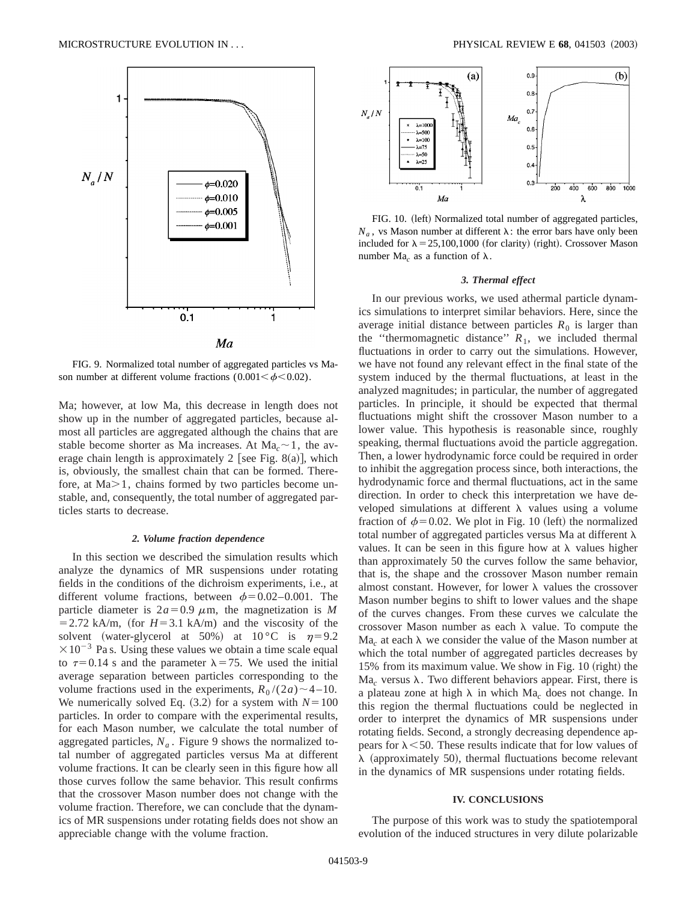

FIG. 9. Normalized total number of aggregated particles vs Mason number at different volume fractions  $(0.001 \le \phi \le 0.02)$ .

Ma; however, at low Ma, this decrease in length does not show up in the number of aggregated particles, because almost all particles are aggregated although the chains that are stable become shorter as Ma increases. At  $Ma<sub>c</sub> \sim 1$ , the average chain length is approximately 2 [see Fig. 8(a)], which is, obviously, the smallest chain that can be formed. Therefore, at  $Ma > 1$ , chains formed by two particles become unstable, and, consequently, the total number of aggregated particles starts to decrease.

# *2. Volume fraction dependence*

In this section we described the simulation results which analyze the dynamics of MR suspensions under rotating fields in the conditions of the dichroism experiments, i.e., at different volume fractions, between  $\phi$ =0.02–0.001. The particle diameter is  $2a=0.9 \mu$ m, the magnetization is *M*  $=$  2.72 kA/m, (for  $H=3.1$  kA/m) and the viscosity of the solvent (water-glycerol at 50%) at  $10^{\circ}$ C is  $\eta=9.2$  $\times 10^{-3}$  Pa s. Using these values we obtain a time scale equal to  $\tau=0.14$  s and the parameter  $\lambda=75$ . We used the initial average separation between particles corresponding to the volume fractions used in the experiments,  $R_0/(2a) \sim 4-10$ . We numerically solved Eq.  $(3.2)$  for a system with  $N=100$ particles. In order to compare with the experimental results, for each Mason number, we calculate the total number of aggregated particles,  $N_a$ . Figure 9 shows the normalized total number of aggregated particles versus Ma at different volume fractions. It can be clearly seen in this figure how all those curves follow the same behavior. This result confirms that the crossover Mason number does not change with the volume fraction. Therefore, we can conclude that the dynamics of MR suspensions under rotating fields does not show an appreciable change with the volume fraction.



FIG. 10. (left) Normalized total number of aggregated particles,  $N_a$ , vs Mason number at different  $\lambda$ : the error bars have only been included for  $\lambda = 25,100,1000$  (for clarity) (right). Crossover Mason number Ma<sub>c</sub> as a function of  $\lambda$ .

## *3. Thermal effect*

In our previous works, we used athermal particle dynamics simulations to interpret similar behaviors. Here, since the average initial distance between particles  $R_0$  is larger than the "thermomagnetic distance"  $R_1$ , we included thermal fluctuations in order to carry out the simulations. However, we have not found any relevant effect in the final state of the system induced by the thermal fluctuations, at least in the analyzed magnitudes; in particular, the number of aggregated particles. In principle, it should be expected that thermal fluctuations might shift the crossover Mason number to a lower value. This hypothesis is reasonable since, roughly speaking, thermal fluctuations avoid the particle aggregation. Then, a lower hydrodynamic force could be required in order to inhibit the aggregation process since, both interactions, the hydrodynamic force and thermal fluctuations, act in the same direction. In order to check this interpretation we have developed simulations at different  $\lambda$  values using a volume fraction of  $\phi$ =0.02. We plot in Fig. 10 (left) the normalized total number of aggregated particles versus Ma at different  $\lambda$ values. It can be seen in this figure how at  $\lambda$  values higher than approximately 50 the curves follow the same behavior, that is, the shape and the crossover Mason number remain almost constant. However, for lower  $\lambda$  values the crossover Mason number begins to shift to lower values and the shape of the curves changes. From these curves we calculate the crossover Mason number as each  $\lambda$  value. To compute the  $Ma<sub>c</sub>$  at each  $\lambda$  we consider the value of the Mason number at which the total number of aggregated particles decreases by 15% from its maximum value. We show in Fig.  $10$  (right) the Ma<sub>c</sub> versus  $\lambda$ . Two different behaviors appear. First, there is a plateau zone at high  $\lambda$  in which Ma<sub>c</sub> does not change. In this region the thermal fluctuations could be neglected in order to interpret the dynamics of MR suspensions under rotating fields. Second, a strongly decreasing dependence appears for  $\lambda$  < 50. These results indicate that for low values of  $\lambda$  (approximately 50), thermal fluctuations become relevant in the dynamics of MR suspensions under rotating fields.

### **IV. CONCLUSIONS**

The purpose of this work was to study the spatiotemporal evolution of the induced structures in very dilute polarizable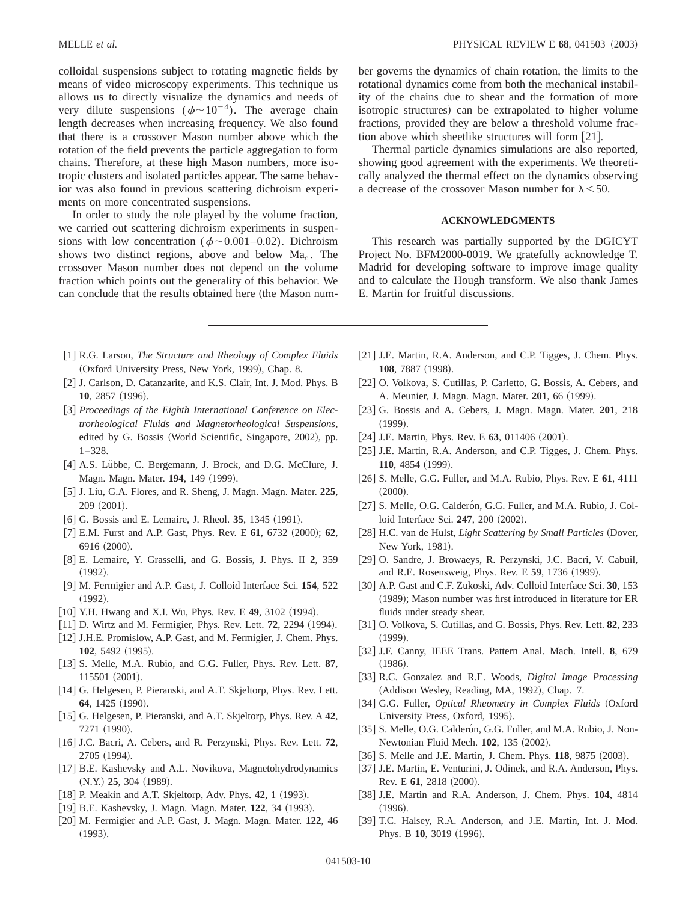colloidal suspensions subject to rotating magnetic fields by means of video microscopy experiments. This technique us allows us to directly visualize the dynamics and needs of very dilute suspensions ( $\phi \sim 10^{-4}$ ). The average chain length decreases when increasing frequency. We also found that there is a crossover Mason number above which the rotation of the field prevents the particle aggregation to form chains. Therefore, at these high Mason numbers, more isotropic clusters and isolated particles appear. The same behavior was also found in previous scattering dichroism experiments on more concentrated suspensions.

In order to study the role played by the volume fraction, we carried out scattering dichroism experiments in suspensions with low concentration ( $\phi \sim 0.001-0.02$ ). Dichroism shows two distinct regions, above and below Ma*<sup>c</sup>* . The crossover Mason number does not depend on the volume fraction which points out the generality of this behavior. We can conclude that the results obtained here (the Mason number governs the dynamics of chain rotation, the limits to the rotational dynamics come from both the mechanical instability of the chains due to shear and the formation of more isotropic structures) can be extrapolated to higher volume fractions, provided they are below a threshold volume fraction above which sheetlike structures will form  $[21]$ .

Thermal particle dynamics simulations are also reported, showing good agreement with the experiments. We theoretically analyzed the thermal effect on the dynamics observing a decrease of the crossover Mason number for  $\lambda$  < 50.

# **ACKNOWLEDGMENTS**

This research was partially supported by the DGICYT Project No. BFM2000-0019. We gratefully acknowledge T. Madrid for developing software to improve image quality and to calculate the Hough transform. We also thank James E. Martin for fruitful discussions.

- [1] R.G. Larson, *The Structure and Rheology of Complex Fluids* (Oxford University Press, New York, 1999), Chap. 8.
- [2] J. Carlson, D. Catanzarite, and K.S. Clair, Int. J. Mod. Phys. B **10**, 2857 (1996).
- [3] Proceedings of the Eighth International Conference on Elec*trorheological Fluids and Magnetorheological Suspensions*, edited by G. Bossis (World Scientific, Singapore, 2002), pp. 1–328.
- [4] A.S. Lübbe, C. Bergemann, J. Brock, and D.G. McClure, J. Magn. Magn. Mater. 194, 149 (1999).
- @5# J. Liu, G.A. Flores, and R. Sheng, J. Magn. Magn. Mater. **225**, 209 (2001).
- [6] G. Bossis and E. Lemaire, J. Rheol. **35**, 1345 (1991).
- [7] E.M. Furst and A.P. Gast, Phys. Rev. E 61, 6732 (2000); 62, 6916 (2000).
- @8# E. Lemaire, Y. Grasselli, and G. Bossis, J. Phys. II **2**, 359  $(1992).$
- [9] M. Fermigier and A.P. Gast, J. Colloid Interface Sci. **154**, 522  $(1992)$ .
- [10] Y.H. Hwang and X.I. Wu, Phys. Rev. E 49, 3102 (1994).
- [11] D. Wirtz and M. Fermigier, Phys. Rev. Lett. **72**, 2294 (1994).
- [12] J.H.E. Promislow, A.P. Gast, and M. Fermigier, J. Chem. Phys. **102**, 5492 (1995).
- [13] S. Melle, M.A. Rubio, and G.G. Fuller, Phys. Rev. Lett. 87, 115501 (2001).
- [14] G. Helgesen, P. Pieranski, and A.T. Skjeltorp, Phys. Rev. Lett. **64**, 1425 (1990).
- [15] G. Helgesen, P. Pieranski, and A.T. Skjeltorp, Phys. Rev. A 42, 7271 (1990).
- [16] J.C. Bacri, A. Cebers, and R. Perzynski, Phys. Rev. Lett. **72**, 2705 (1994).
- [17] B.E. Kashevsky and A.L. Novikova, Magnetohydrodynamics  $(N.Y.)$  **25**, 304  $(1989)$ .
- [18] P. Meakin and A.T. Skjeltorp, Adv. Phys. **42**, 1 (1993).
- [19] B.E. Kashevsky, J. Magn. Magn. Mater. 122, 34 (1993).
- [20] M. Fermigier and A.P. Gast, J. Magn. Magn. Mater. 122, 46  $(1993).$
- [21] J.E. Martin, R.A. Anderson, and C.P. Tigges, J. Chem. Phys. **108**, 7887 (1998).
- [22] O. Volkova, S. Cutillas, P. Carletto, G. Bossis, A. Cebers, and A. Meunier, J. Magn. Magn. Mater. **201**, 66 (1999).
- [23] G. Bossis and A. Cebers, J. Magn. Magn. Mater. **201**, 218  $(1999)$ .
- $[24]$  J.E. Martin, Phys. Rev. E 63, 011406  $(2001)$ .
- [25] J.E. Martin, R.A. Anderson, and C.P. Tigges, J. Chem. Phys. **110**, 4854 (1999).
- @26# S. Melle, G.G. Fuller, and M.A. Rubio, Phys. Rev. E **61**, 4111  $(2000).$
- [27] S. Melle, O.G. Calderón, G.G. Fuller, and M.A. Rubio, J. Colloid Interface Sci. 247, 200 (2002).
- [28] H.C. van de Hulst, *Light Scattering by Small Particles* (Dover, New York, 1981).
- [29] O. Sandre, J. Browaeys, R. Perzynski, J.C. Bacri, V. Cabuil, and R.E. Rosensweig, Phys. Rev. E 59, 1736 (1999).
- [30] A.P. Gast and C.F. Zukoski, Adv. Colloid Interface Sci. 30, 153 (1989); Mason number was first introduced in literature for ER fluids under steady shear.
- @31# O. Volkova, S. Cutillas, and G. Bossis, Phys. Rev. Lett. **82**, 233  $(1999).$
- [32] J.F. Canny, IEEE Trans. Pattern Anal. Mach. Intell. 8, 679  $(1986).$
- [33] R.C. Gonzalez and R.E. Woods, *Digital Image Processing* (Addison Wesley, Reading, MA, 1992), Chap. 7.
- [34] G.G. Fuller, *Optical Rheometry in Complex Fluids* (Oxford University Press, Oxford, 1995).
- [35] S. Melle, O.G. Calderon, G.G. Fuller, and M.A. Rubio, J. Non-Newtonian Fluid Mech. **102**, 135 (2002).
- [36] S. Melle and J.E. Martin, J. Chem. Phys. **118**, 9875 (2003).
- [37] J.E. Martin, E. Venturini, J. Odinek, and R.A. Anderson, Phys. Rev. E 61, 2818 (2000).
- [38] J.E. Martin and R.A. Anderson, J. Chem. Phys. **104**, 4814  $(1996).$
- [39] T.C. Halsey, R.A. Anderson, and J.E. Martin, Int. J. Mod. Phys. B 10, 3019 (1996).